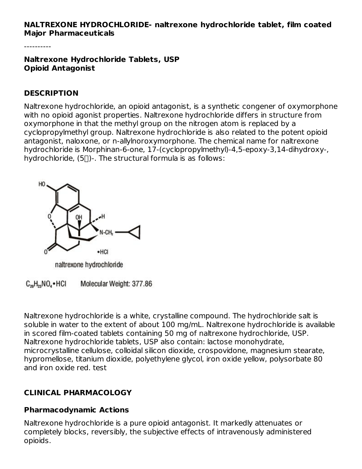#### **NALTREXONE HYDROCHLORIDE- naltrexone hydrochloride tablet, film coated Major Pharmaceuticals**

----------

**Naltrexone Hydrochloride Tablets, USP Opioid Antagonist**

#### **DESCRIPTION**

Naltrexone hydrochloride, an opioid antagonist, is a synthetic congener of oxymorphone with no opioid agonist properties. Naltrexone hydrochloride differs in structure from oxymorphone in that the methyl group on the nitrogen atom is replaced by a cyclopropylmethyl group. Naltrexone hydrochloride is also related to the potent opioid antagonist, naloxone, or n-allylnoroxymorphone. The chemical name for naltrexone hydrochloride is Morphinan-6-one, 17-(cyclopropylmethyl)-4,5-epoxy-3,14-dihydroxy-, hydrochloride,  $(5)$ -. The structural formula is as follows:



 $C_{20}H_{23}NO_4\bullet HCl$ Molecular Weight: 377.86

Naltrexone hydrochloride is a white, crystalline compound. The hydrochloride salt is soluble in water to the extent of about 100 mg/mL. Naltrexone hydrochloride is available in scored film-coated tablets containing 50 mg of naltrexone hydrochloride, USP. Naltrexone hydrochloride tablets, USP also contain: lactose monohydrate, microcrystalline cellulose, colloidal silicon dioxide, crospovidone, magnesium stearate, hypromellose, titanium dioxide, polyethylene glycol, iron oxide yellow, polysorbate 80 and iron oxide red. test

## **CLINICAL PHARMACOLOGY**

### **Pharmacodynamic Actions**

Naltrexone hydrochloride is a pure opioid antagonist. It markedly attenuates or completely blocks, reversibly, the subjective effects of intravenously administered opioids.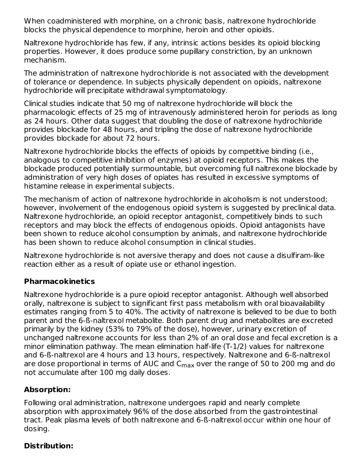When coadministered with morphine, on a chronic basis, naltrexone hydrochloride blocks the physical dependence to morphine, heroin and other opioids.

Naltrexone hydrochloride has few, if any, intrinsic actions besides its opioid blocking properties. However, it does produce some pupillary constriction, by an unknown mechanism.

The administration of naltrexone hydrochloride is not associated with the development of tolerance or dependence. In subjects physically dependent on opioids, naltrexone hydrochloride will precipitate withdrawal symptomatology.

Clinical studies indicate that 50 mg of naltrexone hydrochloride will block the pharmacologic effects of 25 mg of intravenously administered heroin for periods as long as 24 hours. Other data suggest that doubling the dose of naltrexone hydrochloride provides blockade for 48 hours, and tripling the dose of naltrexone hydrochloride provides blockade for about 72 hours.

Naltrexone hydrochloride blocks the effects of opioids by competitive binding (i.e., analogous to competitive inhibition of enzymes) at opioid receptors. This makes the blockade produced potentially surmountable, but overcoming full naltrexone blockade by administration of very high doses of opiates has resulted in excessive symptoms of histamine release in experimental subjects.

The mechanism of action of naltrexone hydrochloride in alcoholism is not understood; however, involvement of the endogenous opioid system is suggested by preclinical data. Naltrexone hydrochloride, an opioid receptor antagonist, competitively binds to such receptors and may block the effects of endogenous opioids. Opioid antagonists have been shown to reduce alcohol consumption by animals, and naltrexone hydrochloride has been shown to reduce alcohol consumption in clinical studies.

Naltrexone hydrochloride is not aversive therapy and does not cause a disulfiram-like reaction either as a result of opiate use or ethanol ingestion.

### **Pharmacokinetics**

Naltrexone hydrochloride is a pure opioid receptor antagonist. Although well absorbed orally, naltrexone is subject to significant first pass metabolism with oral bioavailability estimates ranging from 5 to 40%. The activity of naltrexone is believed to be due to both parent and the 6-ß-naltrexol metabolite. Both parent drug and metabolites are excreted primarily by the kidney (53% to 79% of the dose), however, urinary excretion of unchanged naltrexone accounts for less than 2% of an oral dose and fecal excretion is a minor elimination pathway. The mean elimination half-life (T-1/2) values for naltrexone and 6-ß-naltrexol are 4 hours and 13 hours, respectively. Naltrexone and 6-ß-naltrexol are dose proportional in terms of AUC and  $\mathsf{C}_{\mathsf{max}}$  over the range of 50 to 200 mg and do not accumulate after 100 mg daily doses.

## **Absorption:**

Following oral administration, naltrexone undergoes rapid and nearly complete absorption with approximately 96% of the dose absorbed from the gastrointestinal tract. Peak plasma levels of both naltrexone and 6-ß-naltrexol occur within one hour of dosing.

## **Distribution:**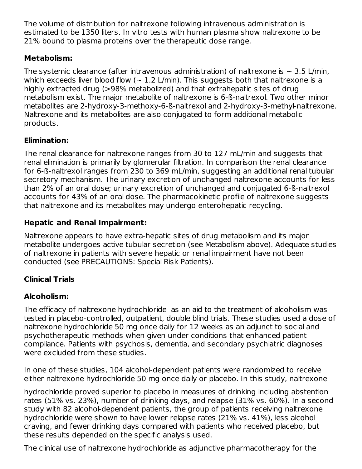The volume of distribution for naltrexone following intravenous administration is estimated to be 1350 liters. In vitro tests with human plasma show naltrexone to be 21% bound to plasma proteins over the therapeutic dose range.

## **Metabolism:**

The systemic clearance (after intravenous administration) of naltrexone is  $\sim$  3.5 L/min, which exceeds liver blood flow  $(-1.2 \text{ L/min})$ . This suggests both that naltrexone is a highly extracted drug (>98% metabolized) and that extrahepatic sites of drug metabolism exist. The major metabolite of naltrexone is 6-ß-naltrexol. Two other minor metabolites are 2-hydroxy-3-methoxy-6-ß-naltrexol and 2-hydroxy-3-methyl-naltrexone. Naltrexone and its metabolites are also conjugated to form additional metabolic products.

## **Elimination:**

The renal clearance for naltrexone ranges from 30 to 127 mL/min and suggests that renal elimination is primarily by glomerular filtration. In comparison the renal clearance for 6-ß-naltrexol ranges from 230 to 369 mL/min, suggesting an additional renal tubular secretory mechanism. The urinary excretion of unchanged naltrexone accounts for less than 2% of an oral dose; urinary excretion of unchanged and conjugated 6-ß-naltrexol accounts for 43% of an oral dose. The pharmacokinetic profile of naltrexone suggests that naltrexone and its metabolites may undergo enterohepatic recycling.

## **Hepatic and Renal Impairment:**

Naltrexone appears to have extra-hepatic sites of drug metabolism and its major metabolite undergoes active tubular secretion (see Metabolism above). Adequate studies of naltrexone in patients with severe hepatic or renal impairment have not been conducted (see PRECAUTIONS: Special Risk Patients).

## **Clinical Trials**

## **Alcoholism:**

The efficacy of naltrexone hydrochloride as an aid to the treatment of alcoholism was tested in placebo-controlled, outpatient, double blind trials. These studies used a dose of naltrexone hydrochloride 50 mg once daily for 12 weeks as an adjunct to social and psychotherapeutic methods when given under conditions that enhanced patient compliance. Patients with psychosis, dementia, and secondary psychiatric diagnoses were excluded from these studies.

In one of these studies, 104 alcohol-dependent patients were randomized to receive either naltrexone hydrochloride 50 mg once daily or placebo. In this study, naltrexone

hydrochloride proved superior to placebo in measures of drinking including abstention rates (51% vs. 23%), number of drinking days, and relapse (31% vs. 60%). In a second study with 82 alcohol-dependent patients, the group of patients receiving naltrexone hydrochloride were shown to have lower relapse rates (21% vs. 41%), less alcohol craving, and fewer drinking days compared with patients who received placebo, but these results depended on the specific analysis used.

The clinical use of naltrexone hydrochloride as adjunctive pharmacotherapy for the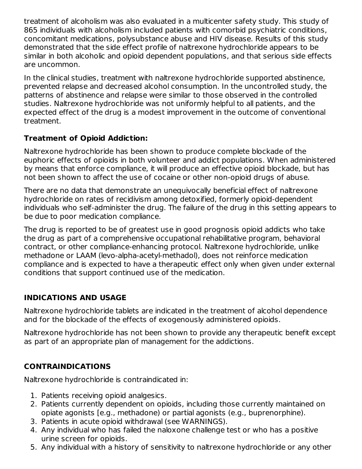treatment of alcoholism was also evaluated in a multicenter safety study. This study of 865 individuals with alcoholism included patients with comorbid psychiatric conditions, concomitant medications, polysubstance abuse and HIV disease. Results of this study demonstrated that the side effect profile of naltrexone hydrochloride appears to be similar in both alcoholic and opioid dependent populations, and that serious side effects are uncommon.

In the clinical studies, treatment with naltrexone hydrochloride supported abstinence, prevented relapse and decreased alcohol consumption. In the uncontrolled study, the patterns of abstinence and relapse were similar to those observed in the controlled studies. Naltrexone hydrochloride was not uniformly helpful to all patients, and the expected effect of the drug is a modest improvement in the outcome of conventional treatment.

## **Treatment of Opioid Addiction:**

Naltrexone hydrochloride has been shown to produce complete blockade of the euphoric effects of opioids in both volunteer and addict populations. When administered by means that enforce compliance, it will produce an effective opioid blockade, but has not been shown to affect the use of cocaine or other non-opioid drugs of abuse.

There are no data that demonstrate an unequivocally beneficial effect of naltrexone hydrochloride on rates of recidivism among detoxified, formerly opioid-dependent individuals who self-administer the drug. The failure of the drug in this setting appears to be due to poor medication compliance.

The drug is reported to be of greatest use in good prognosis opioid addicts who take the drug as part of a comprehensive occupational rehabilitative program, behavioral contract, or other compliance-enhancing protocol. Naltrexone hydrochloride, unlike methadone or LAAM (levo-alpha-acetyl-methadol), does not reinforce medication compliance and is expected to have a therapeutic effect only when given under external conditions that support continued use of the medication.

## **INDICATIONS AND USAGE**

Naltrexone hydrochloride tablets are indicated in the treatment of alcohol dependence and for the blockade of the effects of exogenously administered opioids.

Naltrexone hydrochloride has not been shown to provide any therapeutic benefit except as part of an appropriate plan of management for the addictions.

## **CONTRAINDICATIONS**

Naltrexone hydrochloride is contraindicated in:

- 1. Patients receiving opioid analgesics.
- 2. Patients currently dependent on opioids, including those currently maintained on opiate agonists [e.g., methadone) or partial agonists (e.g., buprenorphine).
- 3. Patients in acute opioid withdrawal (see WARNINGS).
- 4. Any individual who has failed the naloxone challenge test or who has a positive urine screen for opioids.
- 5. Any individual with a history of sensitivity to naltrexone hydrochloride or any other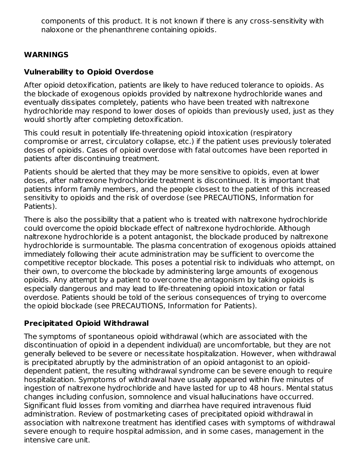components of this product. It is not known if there is any cross-sensitivity with naloxone or the phenanthrene containing opioids.

### **WARNINGS**

### **Vulnerability to Opioid Overdose**

After opioid detoxification, patients are likely to have reduced tolerance to opioids. As the blockade of exogenous opioids provided by naltrexone hydrochloride wanes and eventually dissipates completely, patients who have been treated with naltrexone hydrochloride may respond to lower doses of opioids than previously used, just as they would shortly after completing detoxification.

This could result in potentially life-threatening opioid intoxication (respiratory compromise or arrest, circulatory collapse, etc.) if the patient uses previously tolerated doses of opioids. Cases of opioid overdose with fatal outcomes have been reported in patients after discontinuing treatment.

Patients should be alerted that they may be more sensitive to opioids, even at lower doses, after naltrexone hydrochloride treatment is discontinued. It is important that patients inform family members, and the people closest to the patient of this increased sensitivity to opioids and the risk of overdose (see PRECAUTIONS, Information for Patients).

There is also the possibility that a patient who is treated with naltrexone hydrochloride could overcome the opioid blockade effect of naltrexone hydrochloride. Although naltrexone hydrochloride is a potent antagonist, the blockade produced by naltrexone hydrochloride is surmountable. The plasma concentration of exogenous opioids attained immediately following their acute administration may be sufficient to overcome the competitive receptor blockade. This poses a potential risk to individuals who attempt, on their own, to overcome the blockade by administering large amounts of exogenous opioids. Any attempt by a patient to overcome the antagonism by taking opioids is especially dangerous and may lead to life-threatening opioid intoxication or fatal overdose. Patients should be told of the serious consequences of trying to overcome the opioid blockade (see PRECAUTIONS, Information for Patients).

## **Precipitated Opioid Withdrawal**

The symptoms of spontaneous opioid withdrawal (which are associated with the discontinuation of opioid in a dependent individual) are uncomfortable, but they are not generally believed to be severe or necessitate hospitalization. However, when withdrawal is precipitated abruptly by the administration of an opioid antagonist to an opioiddependent patient, the resulting withdrawal syndrome can be severe enough to require hospitalization. Symptoms of withdrawal have usually appeared within five minutes of ingestion of naltrexone hydrochloride and have lasted for up to 48 hours. Mental status changes including confusion, somnolence and visual hallucinations have occurred. Significant fluid losses from vomiting and diarrhea have required intravenous fluid administration. Review of postmarketing cases of precipitated opioid withdrawal in association with naltrexone treatment has identified cases with symptoms of withdrawal severe enough to require hospital admission, and in some cases, management in the intensive care unit.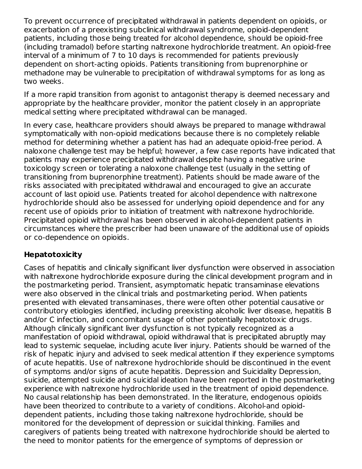To prevent occurrence of precipitated withdrawal in patients dependent on opioids, or exacerbation of a preexisting subclinical withdrawal syndrome, opioid-dependent patients, including those being treated for alcohol dependence, should be opioid-free (including tramadol) before starting naltrexone hydrochloride treatment. An opioid-free interval of a minimum of 7 to 10 days is recommended for patients previously dependent on short-acting opioids. Patients transitioning from buprenorphine or methadone may be vulnerable to precipitation of withdrawal symptoms for as long as two weeks.

If a more rapid transition from agonist to antagonist therapy is deemed necessary and appropriate by the healthcare provider, monitor the patient closely in an appropriate medical setting where precipitated withdrawal can be managed.

In every case, healthcare providers should always be prepared to manage withdrawal symptomatically with non-opioid medications because there is no completely reliable method for determining whether a patient has had an adequate opioid-free period. A naloxone challenge test may be helpful; however, a few case reports have indicated that patients may experience precipitated withdrawal despite having a negative urine toxicology screen or tolerating a naloxone challenge test (usually in the setting of transitioning from buprenorphine treatment). Patients should be made aware of the risks associated with precipitated withdrawal and encouraged to give an accurate account of last opioid use. Patients treated for alcohol dependence with naltrexone hydrochloride should also be assessed for underlying opioid dependence and for any recent use of opioids prior to initiation of treatment with naltrexone hydrochloride. Precipitated opioid withdrawal has been observed in alcohol-dependent patients in circumstances where the prescriber had been unaware of the additional use of opioids or co-dependence on opioids.

### **Hepatotoxicity**

Cases of hepatitis and clinically significant liver dysfunction were observed in association with naltrexone hydrochloride exposure during the clinical development program and in the postmarketing period. Transient, asymptomatic hepatic transaminase elevations were also observed in the clinical trials and postmarketing period. When patients presented with elevated transaminases, there were often other potential causative or contributory etiologies identified, including preexisting alcoholic liver disease, hepatitis B and/or C infection, and concomitant usage of other potentially hepatotoxic drugs. Although clinically significant liver dysfunction is not typically recognized as a manifestation of opioid withdrawal, opioid withdrawal that is precipitated abruptly may lead to systemic sequelae, including acute liver injury. Patients should be warned of the risk of hepatic injury and advised to seek medical attention if they experience symptoms of acute hepatitis. Use of naltrexone hydrochloride should be discontinued in the event of symptoms and/or signs of acute hepatitis. Depression and Suicidality Depression, suicide, attempted suicide and suicidal ideation have been reported in the postmarketing experience with naltrexone hydrochloride used in the treatment of opioid dependence. No causal relationship has been demonstrated. In the literature, endogenous opioids have been theorized to contribute to a variety of conditions. Alcohol-and opioiddependent patients, including those taking naltrexone hydrochloride, should be monitored for the development of depression or suicidal thinking. Families and caregivers of patients being treated with naltrexone hydrochloride should be alerted to the need to monitor patients for the emergence of symptoms of depression or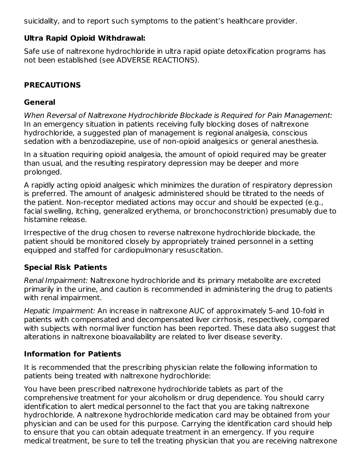suicidality, and to report such symptoms to the patient's healthcare provider.

#### **Ultra Rapid Opioid Withdrawal:**

Safe use of naltrexone hydrochloride in ultra rapid opiate detoxification programs has not been established (see ADVERSE REACTIONS).

#### **PRECAUTIONS**

#### **General**

When Reversal of Naltrexone Hydrochloride Blockade is Required for Pain Management: In an emergency situation in patients receiving fully blocking doses of naltrexone hydrochloride, a suggested plan of management is regional analgesia, conscious sedation with a benzodiazepine, use of non-opioid analgesics or general anesthesia.

In a situation requiring opioid analgesia, the amount of opioid required may be greater than usual, and the resulting respiratory depression may be deeper and more prolonged.

A rapidly acting opioid analgesic which minimizes the duration of respiratory depression is preferred. The amount of analgesic administered should be titrated to the needs of the patient. Non-receptor mediated actions may occur and should be expected (e.g., facial swelling, itching, generalized erythema, or bronchoconstriction) presumably due to histamine release.

Irrespective of the drug chosen to reverse naltrexone hydrochloride blockade, the patient should be monitored closely by appropriately trained personnel in a setting equipped and staffed for cardiopulmonary resuscitation.

#### **Special Risk Patients**

Renal Impairment: Naltrexone hydrochloride and its primary metabolite are excreted primarily in the urine, and caution is recommended in administering the drug to patients with renal impairment.

Hepatic Impairment: An increase in naltrexone AUC of approximately 5-and 10-fold in patients with compensated and decompensated liver cirrhosis, respectively, compared with subjects with normal liver function has been reported. These data also suggest that alterations in naltrexone bioavailability are related to liver disease severity.

#### **Information for Patients**

It is recommended that the prescribing physician relate the following information to patients being treated with naltrexone hydrochloride:

You have been prescribed naltrexone hydrochloride tablets as part of the comprehensive treatment for your alcoholism or drug dependence. You should carry identification to alert medical personnel to the fact that you are taking naltrexone hydrochloride. A naltrexone hydrochloride medication card may be obtained from your physician and can be used for this purpose. Carrying the identification card should help to ensure that you can obtain adequate treatment in an emergency. If you require medical treatment, be sure to tell the treating physician that you are receiving naltrexone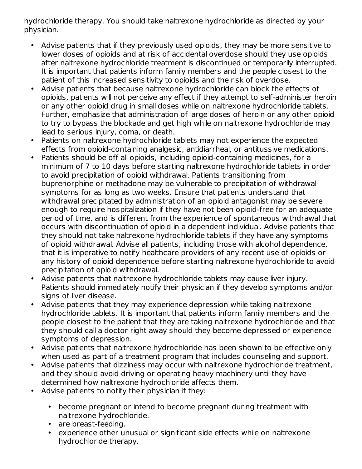hydrochloride therapy. You should take naltrexone hydrochloride as directed by your physician.

- Advise patients that if they previously used opioids, they may be more sensitive to lower doses of opioids and at risk of accidental overdose should they use opioids after naltrexone hydrochloride treatment is discontinued or temporarily interrupted. It is important that patients inform family members and the people closest to the patient of this increased sensitivity to opioids and the risk of overdose.
- Advise patients that because naltrexone hydrochloride can block the effects of opioids, patients will not perceive any effect if they attempt to self-administer heroin or any other opioid drug in small doses while on naltrexone hydrochloride tablets. Further, emphasize that administration of large doses of heroin or any other opioid to try to bypass the blockade and get high while on naltrexone hydrochloride may lead to serious injury, coma, or death.
- Patients on naltrexone hydrochloride tablets may not experience the expected effects from opioid-containing analgesic, antidiarrheal, or antitussive medications.
- Patients should be off all opioids, including opioid-containing medicines, for a minimum of 7 to 10 days before starting naltrexone hydrochloride tablets in order to avoid precipitation of opioid withdrawal. Patients transitioning from buprenorphine or methadone may be vulnerable to precipitation of withdrawal symptoms for as long as two weeks. Ensure that patients understand that withdrawal precipitated by administration of an opioid antagonist may be severe enough to require hospitalization if they have not been opioid-free for an adequate period of time, and is different from the experience of spontaneous withdrawal that occurs with discontinuation of opioid in a dependent individual. Advise patients that they should not take naltrexone hydrochloride tablets if they have any symptoms of opioid withdrawal. Advise all patients, including those with alcohol dependence, that it is imperative to notify healthcare providers of any recent use of opioids or any history of opioid dependence before starting naltrexone hydrochloride to avoid precipitation of opioid withdrawal.
- Advise patients that naltrexone hydrochloride tablets may cause liver injury. Patients should immediately notify their physician if they develop symptoms and/or signs of liver disease.
- Advise patients that they may experience depression while taking naltrexone hydrochloride tablets. It is important that patients inform family members and the people closest to the patient that they are taking naltrexone hydrochloride and that they should call a doctor right away should they become depressed or experience symptoms of depression.
- Advise patients that naltrexone hydrochloride has been shown to be effective only when used as part of a treatment program that includes counseling and support.
- Advise patients that dizziness may occur with naltrexone hydrochloride treatment, and they should avoid driving or operating heavy machinery until they have determined how naltrexone hydrochloride affects them.
- Advise patients to notify their physician if they:
	- become pregnant or intend to become pregnant during treatment with naltrexone hydrochloride.
	- are breast-feeding.
	- experience other unusual or significant side effects while on naltrexone hydrochloride therapy.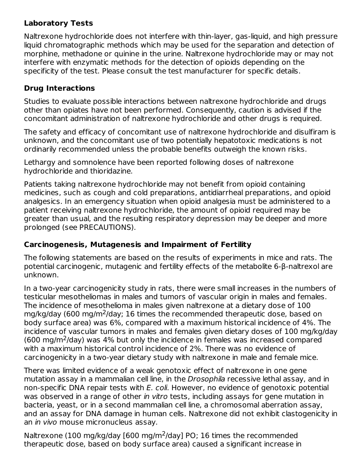#### **Laboratory Tests**

Naltrexone hydrochloride does not interfere with thin-layer, gas-liquid, and high pressure liquid chromatographic methods which may be used for the separation and detection of morphine, methadone or quinine in the urine. Naltrexone hydrochloride may or may not interfere with enzymatic methods for the detection of opioids depending on the specificity of the test. Please consult the test manufacturer for specific details.

### **Drug Interactions**

Studies to evaluate possible interactions between naltrexone hydrochloride and drugs other than opiates have not been performed. Consequently, caution is advised if the concomitant administration of naltrexone hydrochloride and other drugs is required.

The safety and efficacy of concomitant use of naltrexone hydrochloride and disulfiram is unknown, and the concomitant use of two potentially hepatotoxic medications is not ordinarily recommended unless the probable benefits outweigh the known risks.

Lethargy and somnolence have been reported following doses of naltrexone hydrochloride and thioridazine.

Patients taking naltrexone hydrochloride may not benefit from opioid containing medicines, such as cough and cold preparations, antidiarrheal preparations, and opioid analgesics. In an emergency situation when opioid analgesia must be administered to a patient receiving naltrexone hydrochloride, the amount of opioid required may be greater than usual, and the resulting respiratory depression may be deeper and more prolonged (see PRECAUTIONS).

### **Carcinogenesis, Mutagenesis and Impairment of Fertility**

The following statements are based on the results of experiments in mice and rats. The potential carcinogenic, mutagenic and fertility effects of the metabolite 6-β-naltrexol are unknown.

In a two-year carcinogenicity study in rats, there were small increases in the numbers of testicular mesotheliomas in males and tumors of vascular origin in males and females. The incidence of mesothelioma in males given naltrexone at a dietary dose of 100 mg/kg/day (600 mg/m<sup>2</sup>/day; 16 times the recommended therapeutic dose, based on body surface area) was 6%, compared with a maximum historical incidence of 4%. The incidence of vascular tumors in males and females given dietary doses of 100 mg/kg/day  $(600 \text{ mg/m}^2/\text{day})$  was 4% but only the incidence in females was increased compared with a maximum historical control incidence of 2%. There was no evidence of carcinogenicity in a two-year dietary study with naltrexone in male and female mice.

There was limited evidence of a weak genotoxic effect of naltrexone in one gene mutation assay in a mammalian cell line, in the *Drosophila* recessive lethal assay, and in non-specific DNA repair tests with E. coli. However, no evidence of genotoxic potential was observed in a range of other *in vitro* tests, including assays for gene mutation in bacteria, yeast, or in a second mammalian cell line, a chromosomal aberration assay, and an assay for DNA damage in human cells. Naltrexone did not exhibit clastogenicity in an in vivo mouse micronucleus assay.

Naltrexone (100 mg/kg/day [600 mg/m<sup>2</sup>/day] PO; 16 times the recommended therapeutic dose, based on body surface area) caused a significant increase in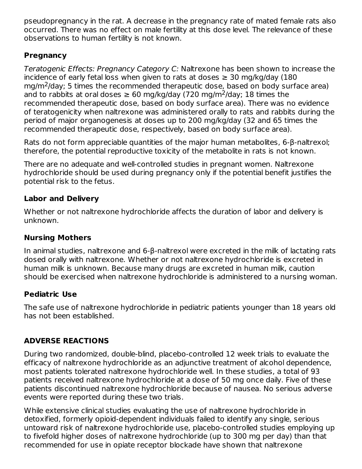pseudopregnancy in the rat. A decrease in the pregnancy rate of mated female rats also occurred. There was no effect on male fertility at this dose level. The relevance of these observations to human fertility is not known.

### **Pregnancy**

Teratogenic Effects: Pregnancy Category C: Naltrexone has been shown to increase the incidence of early fetal loss when given to rats at doses  $\geq$  30 mg/kg/day (180  $mg/m<sup>2</sup>/day$ ; 5 times the recommended therapeutic dose, based on body surface area) and to rabbits at oral doses  $\geq 60$  mg/kg/day (720 mg/m<sup>2</sup>/day; 18 times the recommended therapeutic dose, based on body surface area). There was no evidence of teratogenicity when naltrexone was administered orally to rats and rabbits during the period of major organogenesis at doses up to 200 mg/kg/day (32 and 65 times the recommended therapeutic dose, respectively, based on body surface area).

Rats do not form appreciable quantities of the major human metabolites, 6-β-naltrexol; therefore, the potential reproductive toxicity of the metabolite in rats is not known.

There are no adequate and well-controlled studies in pregnant women. Naltrexone hydrochloride should be used during pregnancy only if the potential benefit justifies the potential risk to the fetus.

## **Labor and Delivery**

Whether or not naltrexone hydrochloride affects the duration of labor and delivery is unknown.

### **Nursing Mothers**

In animal studies, naltrexone and 6-β-naltrexol were excreted in the milk of lactating rats dosed orally with naltrexone. Whether or not naltrexone hydrochloride is excreted in human milk is unknown. Because many drugs are excreted in human milk, caution should be exercised when naltrexone hydrochloride is administered to a nursing woman.

### **Pediatric Use**

The safe use of naltrexone hydrochloride in pediatric patients younger than 18 years old has not been established.

## **ADVERSE REACTIONS**

During two randomized, double-blind, placebo-controlled 12 week trials to evaluate the efficacy of naltrexone hydrochloride as an adjunctive treatment of alcohol dependence, most patients tolerated naltrexone hydrochloride well. In these studies, a total of 93 patients received naltrexone hydrochloride at a dose of 50 mg once daily. Five of these patients discontinued naltrexone hydrochloride because of nausea. No serious adverse events were reported during these two trials.

While extensive clinical studies evaluating the use of naltrexone hydrochloride in detoxified, formerly opioid-dependent individuals failed to identify any single, serious untoward risk of naltrexone hydrochloride use, placebo-controlled studies employing up to fivefold higher doses of naltrexone hydrochloride (up to 300 mg per day) than that recommended for use in opiate receptor blockade have shown that naltrexone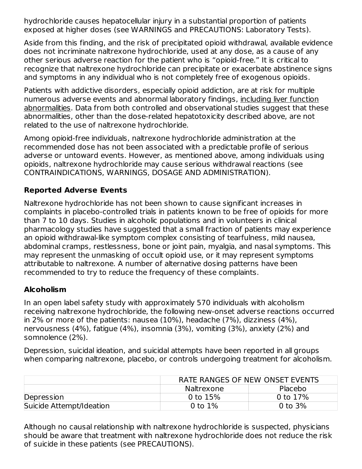hydrochloride causes hepatocellular injury in a substantial proportion of patients exposed at higher doses (see WARNINGS and PRECAUTIONS: Laboratory Tests).

Aside from this finding, and the risk of precipitated opioid withdrawal, available evidence does not incriminate naltrexone hydrochloride, used at any dose, as a cause of any other serious adverse reaction for the patient who is "opioid-free." It is critical to recognize that naltrexone hydrochloride can precipitate or exacerbate abstinence signs and symptoms in any individual who is not completely free of exogenous opioids.

Patients with addictive disorders, especially opioid addiction, are at risk for multiple numerous adverse events and abnormal laboratory findings, including liver function abnormalities. Data from both controlled and observational studies suggest that these abnormalities, other than the dose-related hepatotoxicity described above, are not related to the use of naltrexone hydrochloride.

Among opioid-free individuals, naltrexone hydrochloride administration at the recommended dose has not been associated with a predictable profile of serious adverse or untoward events. However, as mentioned above, among individuals using opioids, naltrexone hydrochloride may cause serious withdrawal reactions (see CONTRAINDICATIONS, WARNINGS, DOSAGE AND ADMINISTRATION).

### **Reported Adverse Events**

Naltrexone hydrochloride has not been shown to cause significant increases in complaints in placebo-controlled trials in patients known to be free of opioids for more than 7 to 10 days. Studies in alcoholic populations and in volunteers in clinical pharmacology studies have suggested that a small fraction of patients may experience an opioid withdrawal-like symptom complex consisting of tearfulness, mild nausea, abdominal cramps, restlessness, bone or joint pain, myalgia, and nasal symptoms. This may represent the unmasking of occult opioid use, or it may represent symptoms attributable to naltrexone. A number of alternative dosing patterns have been recommended to try to reduce the frequency of these complaints.

### **Alcoholism**

In an open label safety study with approximately 570 individuals with alcoholism receiving naltrexone hydrochloride, the following new-onset adverse reactions occurred in 2% or more of the patients: nausea (10%), headache (7%), dizziness (4%), nervousness (4%), fatigue (4%), insomnia (3%), vomiting (3%), anxiety (2%) and somnolence (2%).

Depression, suicidal ideation, and suicidal attempts have been reported in all groups when comparing naltrexone, placebo, or controls undergoing treatment for alcoholism.

|                          |            | RATE RANGES OF NEW ONSET EVENTS |  |  |  |
|--------------------------|------------|---------------------------------|--|--|--|
|                          | Naltrexone | Placebo                         |  |  |  |
| Depression               | 0 to $15%$ | 0 to 17%                        |  |  |  |
| Suicide Attempt/Ideation | 0 to $1\%$ | 0 to $3%$                       |  |  |  |

Although no causal relationship with naltrexone hydrochloride is suspected, physicians should be aware that treatment with naltrexone hydrochloride does not reduce the risk of suicide in these patients (see PRECAUTIONS).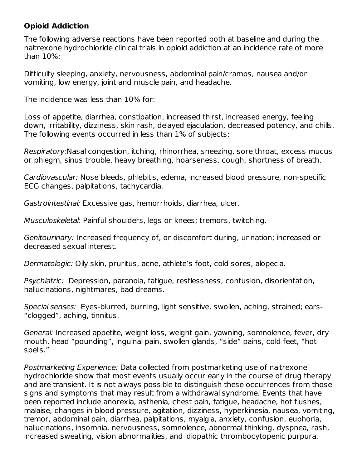#### **Opioid Addiction**

The following adverse reactions have been reported both at baseline and during the naltrexone hydrochloride clinical trials in opioid addiction at an incidence rate of more than 10%:

Difficulty sleeping, anxiety, nervousness, abdominal pain/cramps, nausea and/or vomiting, low energy, joint and muscle pain, and headache.

The incidence was less than 10% for:

Loss of appetite, diarrhea, constipation, increased thirst, increased energy, feeling down, irritability, dizziness, skin rash, delayed ejaculation, decreased potency, and chills. The following events occurred in less than 1% of subjects:

Respiratory:Nasal congestion, itching, rhinorrhea, sneezing, sore throat, excess mucus or phlegm, sinus trouble, heavy breathing, hoarseness, cough, shortness of breath.

Cardiovascular: Nose bleeds, phlebitis, edema, increased blood pressure, non-specific ECG changes, palpitations, tachycardia.

Gastrointestinal: Excessive gas, hemorrhoids, diarrhea, ulcer.

Musculoskeletal: Painful shoulders, legs or knees; tremors, twitching.

Genitourinary: Increased frequency of, or discomfort during, urination; increased or decreased sexual interest.

Dermatologic: Oily skin, pruritus, acne, athlete's foot, cold sores, alopecia.

Psychiatric: Depression, paranoia, fatigue, restlessness, confusion, disorientation, hallucinations, nightmares, bad dreams.

Special senses: Eyes-blurred, burning, light sensitive, swollen, aching, strained; ears- "clogged", aching, tinnitus.

General: Increased appetite, weight loss, weight gain, yawning, somnolence, fever, dry mouth, head "pounding", inguinal pain, swollen glands, "side" pains, cold feet, "hot spells."

Postmarketing Experience: Data collected from postmarketing use of naltrexone hydrochloride show that most events usually occur early in the course of drug therapy and are transient. It is not always possible to distinguish these occurrences from those signs and symptoms that may result from a withdrawal syndrome. Events that have been reported include anorexia, asthenia, chest pain, fatigue, headache, hot flushes, malaise, changes in blood pressure, agitation, dizziness, hyperkinesia, nausea, vomiting, tremor, abdominal pain, diarrhea, palpitations, myalgia, anxiety, confusion, euphoria, hallucinations, insomnia, nervousness, somnolence, abnormal thinking, dyspnea, rash, increased sweating, vision abnormalities, and idiopathic thrombocytopenic purpura.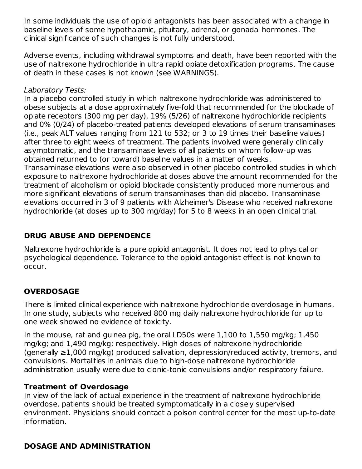In some individuals the use of opioid antagonists has been associated with a change in baseline levels of some hypothalamic, pituitary, adrenal, or gonadal hormones. The clinical significance of such changes is not fully understood.

Adverse events, including withdrawal symptoms and death, have been reported with the use of naltrexone hydrochloride in ultra rapid opiate detoxification programs. The cause of death in these cases is not known (see WARNINGS).

#### Laboratory Tests:

In a placebo controlled study in which naltrexone hydrochloride was administered to obese subjects at a dose approximately five-fold that recommended for the blockade of opiate receptors (300 mg per day), 19% (5/26) of naltrexone hydrochloride recipients and 0% (0/24) of placebo-treated patients developed elevations of serum transaminases (i.e., peak ALT values ranging from 121 to 532; or 3 to 19 times their baseline values) after three to eight weeks of treatment. The patients involved were generally clinically asymptomatic, and the transaminase levels of all patients on whom follow-up was obtained returned to (or toward) baseline values in a matter of weeks.

Transaminase elevations were also observed in other placebo controlled studies in which exposure to naltrexone hydrochloride at doses above the amount recommended for the treatment of alcoholism or opioid blockade consistently produced more numerous and more significant elevations of serum transaminases than did placebo. Transaminase elevations occurred in 3 of 9 patients with Alzheimer's Disease who received naltrexone hydrochloride (at doses up to 300 mg/day) for 5 to 8 weeks in an open clinical trial.

## **DRUG ABUSE AND DEPENDENCE**

Naltrexone hydrochloride is a pure opioid antagonist. It does not lead to physical or psychological dependence. Tolerance to the opioid antagonist effect is not known to occur.

## **OVERDOSAGE**

There is limited clinical experience with naltrexone hydrochloride overdosage in humans. In one study, subjects who received 800 mg daily naltrexone hydrochloride for up to one week showed no evidence of toxicity.

In the mouse, rat and guinea pig, the oral LD50s were 1,100 to 1,550 mg/kg; 1,450 mg/kg; and 1,490 mg/kg; respectively. High doses of naltrexone hydrochloride (generally ≥1,000 mg/kg) produced salivation, depression/reduced activity, tremors, and convulsions. Mortalities in animals due to high-dose naltrexone hydrochloride administration usually were due to clonic-tonic convulsions and/or respiratory failure.

### **Treatment of Overdosage**

In view of the lack of actual experience in the treatment of naltrexone hydrochloride overdose, patients should be treated symptomatically in a closely supervised environment. Physicians should contact a poison control center for the most up-to-date information.

### **DOSAGE AND ADMINISTRATION**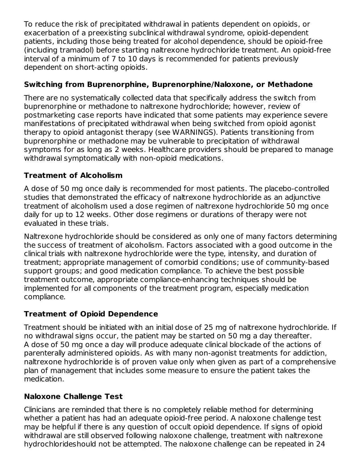To reduce the risk of precipitated withdrawal in patients dependent on opioids, or exacerbation of a preexisting subclinical withdrawal syndrome, opioid-dependent patients, including those being treated for alcohol dependence, should be opioid-free (including tramadol) before starting naltrexone hydrochloride treatment. An opioid-free interval of a minimum of 7 to 10 days is recommended for patients previously dependent on short-acting opioids.

## **Switching from Buprenorphine, Buprenorphine/Naloxone, or Methadone**

There are no systematically collected data that specifically address the switch from buprenorphine or methadone to naltrexone hydrochloride; however, review of postmarketing case reports have indicated that some patients may experience severe manifestations of precipitated withdrawal when being switched from opioid agonist therapy to opioid antagonist therapy (see WARNINGS). Patients transitioning from buprenorphine or methadone may be vulnerable to precipitation of withdrawal symptoms for as long as 2 weeks. Healthcare providers should be prepared to manage withdrawal symptomatically with non-opioid medications.

## **Treatment of Alcoholism**

A dose of 50 mg once daily is recommended for most patients. The placebo-controlled studies that demonstrated the efficacy of naltrexone hydrochloride as an adjunctive treatment of alcoholism used a dose regimen of naltrexone hydrochloride 50 mg once daily for up to 12 weeks. Other dose regimens or durations of therapy were not evaluated in these trials.

Naltrexone hydrochloride should be considered as only one of many factors determining the success of treatment of alcoholism. Factors associated with a good outcome in the clinical trials with naltrexone hydrochloride were the type, intensity, and duration of treatment; appropriate management of comorbid conditions; use of community-based support groups; and good medication compliance. To achieve the best possible treatment outcome, appropriate compliance-enhancing techniques should be implemented for all components of the treatment program, especially medication compliance.

### **Treatment of Opioid Dependence**

Treatment should be initiated with an initial dose of 25 mg of naltrexone hydrochloride. If no withdrawal signs occur, the patient may be started on 50 mg a day thereafter. A dose of 50 mg once a day will produce adequate clinical blockade of the actions of parenterally administered opioids. As with many non-agonist treatments for addiction, naltrexone hydrochloride is of proven value only when given as part of a comprehensive plan of management that includes some measure to ensure the patient takes the medication.

### **Naloxone Challenge Test**

Clinicians are reminded that there is no completely reliable method for determining whether a patient has had an adequate opioid-free period. A naloxone challenge test may be helpful if there is any question of occult opioid dependence. If signs of opioid withdrawal are still observed following naloxone challenge, treatment with naltrexone hydrochlorideshould not be attempted. The naloxone challenge can be repeated in 24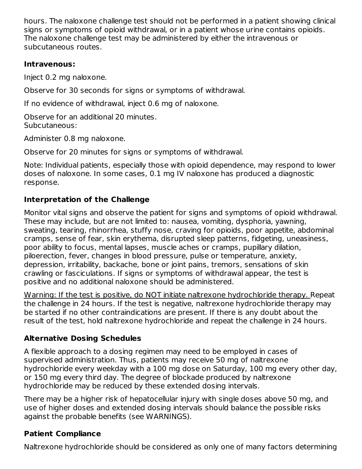hours. The naloxone challenge test should not be performed in a patient showing clinical signs or symptoms of opioid withdrawal, or in a patient whose urine contains opioids. The naloxone challenge test may be administered by either the intravenous or subcutaneous routes.

#### **Intravenous:**

Inject 0.2 mg naloxone.

Observe for 30 seconds for signs or symptoms of withdrawal.

If no evidence of withdrawal, inject 0.6 mg of naloxone.

Observe for an additional 20 minutes. Subcutaneous:

Administer 0.8 mg naloxone.

Observe for 20 minutes for signs or symptoms of withdrawal.

Note: Individual patients, especially those with opioid dependence, may respond to lower doses of naloxone. In some cases, 0.1 mg IV naloxone has produced a diagnostic response.

## **Interpretation of the Challenge**

Monitor vital signs and observe the patient for signs and symptoms of opioid withdrawal. These may include, but are not limited to: nausea, vomiting, dysphoria, yawning, sweating, tearing, rhinorrhea, stuffy nose, craving for opioids, poor appetite, abdominal cramps, sense of fear, skin erythema, disrupted sleep patterns, fidgeting, uneasiness, poor ability to focus, mental lapses, muscle aches or cramps, pupillary dilation, piloerection, fever, changes in blood pressure, pulse or temperature, anxiety, depression, irritability, backache, bone or joint pains, tremors, sensations of skin crawling or fasciculations. If signs or symptoms of withdrawal appear, the test is positive and no additional naloxone should be administered.

Warning: If the test is positive, do NOT initiate naltrexone hydrochloride therapy. Repeat the challenge in 24 hours. If the test is negative, naltrexone hydrochloride therapy may be started if no other contraindications are present. If there is any doubt about the result of the test, hold naltrexone hydrochloride and repeat the challenge in 24 hours.

## **Alternative Dosing Schedules**

A flexible approach to a dosing regimen may need to be employed in cases of supervised administration. Thus, patients may receive 50 mg of naltrexone hydrochloride every weekday with a 100 mg dose on Saturday, 100 mg every other day, or 150 mg every third day. The degree of blockade produced by naltrexone hydrochloride may be reduced by these extended dosing intervals.

There may be a higher risk of hepatocellular injury with single doses above 50 mg, and use of higher doses and extended dosing intervals should balance the possible risks against the probable benefits (see WARNINGS).

## **Patient Compliance**

Naltrexone hydrochloride should be considered as only one of many factors determining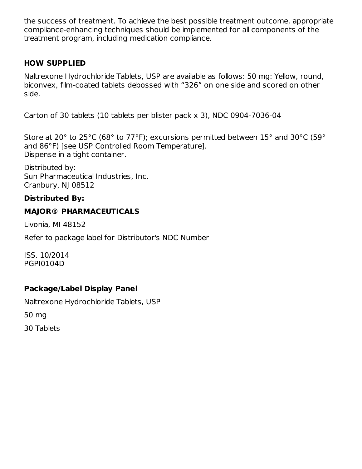the success of treatment. To achieve the best possible treatment outcome, appropriate compliance-enhancing techniques should be implemented for all components of the treatment program, including medication compliance.

#### **HOW SUPPLIED**

Naltrexone Hydrochloride Tablets, USP are available as follows: 50 mg: Yellow, round, biconvex, film-coated tablets debossed with "326" on one side and scored on other side.

Carton of 30 tablets (10 tablets per blister pack x 3), NDC 0904-7036-04

Store at 20° to 25°C (68° to 77°F); excursions permitted between 15° and 30°C (59° and 86°F) [see USP Controlled Room Temperature]. Dispense in a tight container.

Distributed by: Sun Pharmaceutical Industries, Inc. Cranbury, NJ 08512

## **Distributed By:**

### **MAJOR® PHARMACEUTICALS**

Livonia, MI 48152

Refer to package label for Distributor's NDC Number

ISS. 10/2014 PGPI0104D

## **Package/Label Display Panel**

Naltrexone Hydrochloride Tablets, USP

50 mg

30 Tablets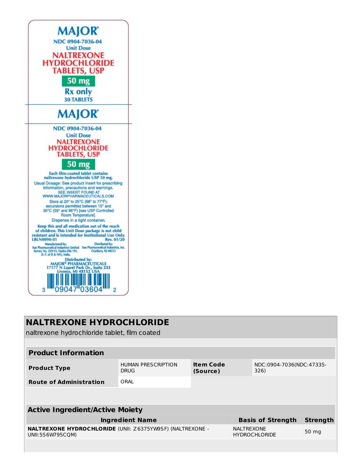

# **NALTREXONE HYDROCHLORIDE**

naltrexone hydrochloride tablet, film coated

| <b>Product Information</b>                                                           |                                          |                              |                          |                                  |  |  |  |
|--------------------------------------------------------------------------------------|------------------------------------------|------------------------------|--------------------------|----------------------------------|--|--|--|
| <b>Product Type</b>                                                                  | <b>HUMAN PRESCRIPTION</b><br><b>DRUG</b> | <b>Item Code</b><br>(Source) |                          | NDC:0904-7036(NDC:47335-<br>326) |  |  |  |
| <b>Route of Administration</b>                                                       | ORAL                                     |                              |                          |                                  |  |  |  |
|                                                                                      |                                          |                              |                          |                                  |  |  |  |
| <b>Active Ingredient/Active Moiety</b>                                               |                                          |                              |                          |                                  |  |  |  |
| <b>Ingredient Name</b>                                                               |                                          |                              | <b>Basis of Strength</b> | <b>Strength</b>                  |  |  |  |
| <b>NALTREXONE HYDROCHLORIDE (UNII: Z6375YW9SF) (NALTREXONE -</b><br>UNII:5S6W795COM) |                                          | <b>NALTREXONE</b>            | <b>HYDROCHLORIDE</b>     | 50 mg                            |  |  |  |
|                                                                                      |                                          |                              |                          |                                  |  |  |  |